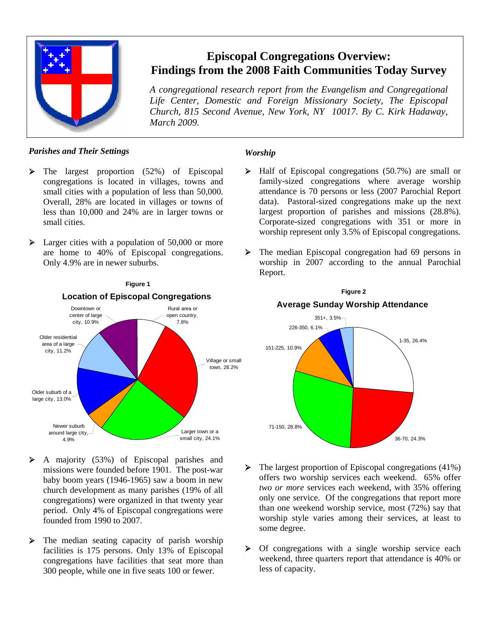

## **Episcopal Congregations Overview: Findings from the 2008 Faith Communities Today Survey**

*A congregational research report from the Evangelism and Congregational Life Center, Domestic and Foreign Missionary Society, The Episcopal Church, 815 Second Avenue, New York, NY 10017. By C. Kirk Hadaway, March 2009.*

## *Parishes and Their Settings*

- $\triangleright$  The largest proportion (52%) of Episcopal congregations is located in villages, towns and small cities with a population of less than 50,000. Overall, 28% are located in villages or towns of less than 10,000 and 24% are in larger towns or small cities.
- $\blacktriangleright$  Larger cities with a population of 50,000 or more are home to 40% of Episcopal congregations. Only 4.9% are in newer suburbs.



- $\triangleright$  A majority (53%) of Episcopal parishes and missions were founded before 1901. The post-war baby boom years (1946-1965) saw a boom in new church development as many parishes (19% of all congregations) were organized in that twenty year period. Only 4% of Episcopal congregations were founded from 1990 to 2007.
- $\triangleright$  The median seating capacity of parish worship facilities is 175 persons. Only 13% of Episcopal congregations have facilities that seat more than 300 people, while one in five seats 100 or fewer.

## *Worship*

- ¾ Half of Episcopal congregations (50.7%) are small or family-sized congregations where average worship attendance is 70 persons or less (2007 Parochial Report data). Pastoral-sized congregations make up the next largest proportion of parishes and missions (28.8%). Corporate-sized congregations with 351 or more in worship represent only 3.5% of Episcopal congregations.
- ¾ The median Episcopal congregation had 69 persons in worship in 2007 according to the annual Parochial Report.

**Figure 2**



- $\triangleright$  The largest proportion of Episcopal congregations (41%) offers two worship services each weekend. 65% offer *two or more* services each weekend, with 35% offering only one service. Of the congregations that report more than one weekend worship service, most (72%) say that worship style varies among their services, at least to some degree.
- $\triangleright$  Of congregations with a single worship service each weekend, three quarters report that attendance is 40% or less of capacity.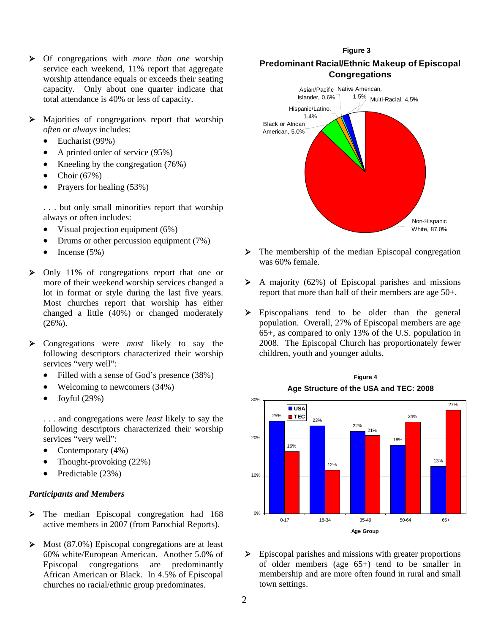- ¾ Of congregations with *more than one* worship service each weekend, 11% report that aggregate worship attendance equals or exceeds their seating capacity. Only about one quarter indicate that total attendance is 40% or less of capacity.
- ¾ Majorities of congregations report that worship *often* or *always* includes:
	- Eucharist (99%)
	- A printed order of service (95%)
	- Kneeling by the congregation (76%)
	- Choir  $(67%)$
	- Prayers for healing (53%)

. . . but only small minorities report that worship always or often includes:

- Visual projection equipment (6%)
- Drums or other percussion equipment (7%)
- Incense  $(5\%)$
- ¾ Only 11% of congregations report that one or more of their weekend worship services changed a lot in format or style during the last five years. Most churches report that worship has either changed a little (40%) or changed moderately  $(26\%)$ .
- ¾ Congregations were *most* likely to say the following descriptors characterized their worship services "very well":
	- Filled with a sense of God's presence (38%)
	- Welcoming to newcomers (34%)
	- Joyful (29%)

. . . and congregations were *least* likely to say the following descriptors characterized their worship services "very well":

- Contemporary (4%)
- Thought-provoking (22%)
- Predictable (23%)

#### *Participants and Members*

- ¾ The median Episcopal congregation had 168 active members in 2007 (from Parochial Reports).
- $\triangleright$  Most (87.0%) Episcopal congregations are at least 60% white/European American. Another 5.0% of Episcopal congregations are predominantly African American or Black. In 4.5% of Episcopal churches no racial/ethnic group predominates.

## **Predominant Racial/Ethnic Makeup of Episcopal Congregations Figure 3**



- $\triangleright$  The membership of the median Episcopal congregation was 60% female.
- $\triangleright$  A majority (62%) of Episcopal parishes and missions report that more than half of their members are age 50+.
- ¾ Episcopalians tend to be older than the general population. Overall, 27% of Episcopal members are age 65+, as compared to only 13% of the U.S. population in 2008. The Episcopal Church has proportionately fewer children, youth and younger adults.

 **Figure 4**



¾ Episcopal parishes and missions with greater proportions of older members (age 65+) tend to be smaller in membership and are more often found in rural and small town settings.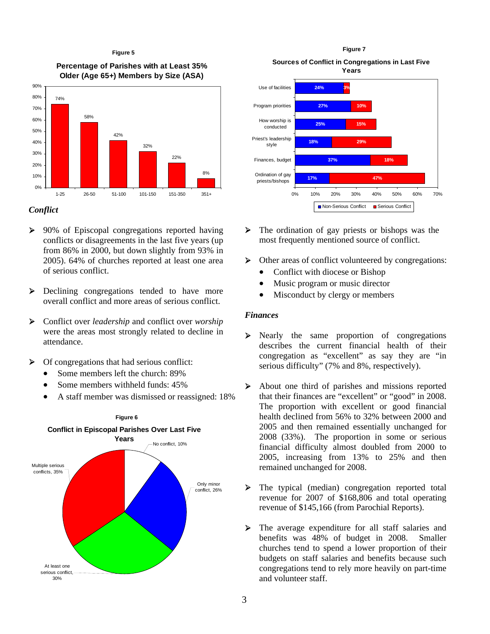#### **Figure 5**

**Percentage of Parishes with at Least 35% Older (Age 65+) Members by Size (ASA)**



#### *Conflict*

- ¾ 90% of Episcopal congregations reported having conflicts or disagreements in the last five years (up from 86% in 2000, but down slightly from 93% in 2005). 64% of churches reported at least one area of serious conflict.
- ¾ Declining congregations tended to have more overall conflict and more areas of serious conflict.
- ¾ Conflict over *leadership* and conflict over *worship* were the areas most strongly related to decline in attendance.
- $\triangleright$  Of congregations that had serious conflict:
	- Some members left the church: 89%
	- Some members withheld funds:  $45\%$
	- A staff member was dismissed or reassigned: 18%



**Sources of Conflict in Congregations in Last Five Figure 7**



- $\triangleright$  The ordination of gay priests or bishops was the most frequently mentioned source of conflict.
- ¾ Other areas of conflict volunteered by congregations:
	- Conflict with diocese or Bishop
	- Music program or music director
	- Misconduct by clergy or members

#### *Finances*

- ¾ Nearly the same proportion of congregations describes the current financial health of their congregation as "excellent" as say they are "in serious difficulty" (7% and 8%, respectively).
- ¾ About one third of parishes and missions reported that their finances are "excellent" or "good" in 2008. The proportion with excellent or good financial health declined from 56% to 32% between 2000 and 2005 and then remained essentially unchanged for 2008 (33%). The proportion in some or serious financial difficulty almost doubled from 2000 to 2005, increasing from 13% to 25% and then remained unchanged for 2008.
- ¾ The typical (median) congregation reported total revenue for 2007 of \$168,806 and total operating revenue of \$145,166 (from Parochial Reports).
- ¾ The average expenditure for all staff salaries and benefits was 48% of budget in 2008. Smaller churches tend to spend a lower proportion of their budgets on staff salaries and benefits because such congregations tend to rely more heavily on part-time and volunteer staff.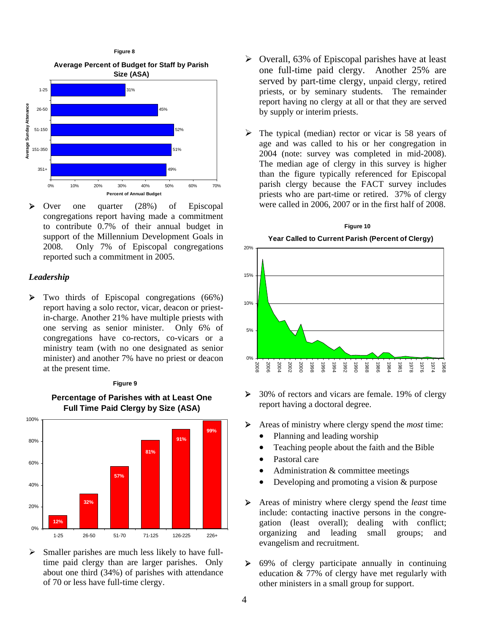

¾ Over one quarter (28%) of Episcopal congregations report having made a commitment to contribute 0.7% of their annual budget in support of the Millennium Development Goals in 2008. Only 7% of Episcopal congregations reported such a commitment in 2005.

#### *Leadership*

 $\triangleright$  Two thirds of Episcopal congregations (66%) report having a solo rector, vicar, deacon or priestin-charge. Another 21% have multiple priests with one serving as senior minister. Only 6% of congregations have co-rectors, co-vicars or a ministry team (with no one designated as senior minister) and another 7% have no priest or deacon at the present time.

#### **Figure 9**



**Percentage of Parishes with at Least One Full Time Paid Clergy by Size (ASA)**

 $\triangleright$  Smaller parishes are much less likely to have fulltime paid clergy than are larger parishes. Only about one third (34%) of parishes with attendance of 70 or less have full-time clergy.

- $\triangleright$  Overall, 63% of Episcopal parishes have at least one full-time paid clergy. Another 25% are served by part-time clergy, unpaid clergy, retired priests, or by seminary students. The remainder report having no clergy at all or that they are served by supply or interim priests.
- $\triangleright$  The typical (median) rector or vicar is 58 years of age and was called to his or her congregation in 2004 (note: survey was completed in mid-2008). The median age of clergy in this survey is higher than the figure typically referenced for Episcopal parish clergy because the FACT survey includes priests who are part-time or retired. 37% of clergy were called in 2006, 2007 or in the first half of 2008.



- $\geq 30\%$  of rectors and vicars are female. 19% of clergy report having a doctoral degree.
- ¾ Areas of ministry where clergy spend the *most* time:
	- Planning and leading worship
	- Teaching people about the faith and the Bible
	- Pastoral care
	- Administration & committee meetings
	- Developing and promoting a vision & purpose
- ¾ Areas of ministry where clergy spend the *least* time include: contacting inactive persons in the congregation (least overall); dealing with conflict; organizing and leading small groups; and evangelism and recruitment.
- $\triangleright$  69% of clergy participate annually in continuing education & 77% of clergy have met regularly with other ministers in a small group for support.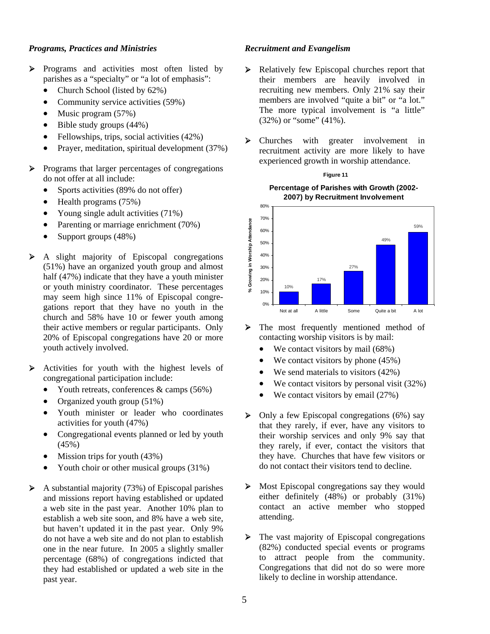### *Programs, Practices and Ministries*

- ¾ Programs and activities most often listed by parishes as a "specialty" or "a lot of emphasis":
	- Church School (listed by 62%)
	- Community service activities (59%)
	- Music program (57%)
	- Bible study groups  $(44%)$
	- Fellowships, trips, social activities (42%)
	- Prayer, meditation, spiritual development (37%)
- ¾ Programs that larger percentages of congregations do not offer at all include:
	- Sports activities (89% do not offer)
	- Health programs (75%)
	- Young single adult activities (71%)
	- Parenting or marriage enrichment (70%)
	- Support groups (48%)
- $\triangleright$  A slight majority of Episcopal congregations (51%) have an organized youth group and almost half (47%) indicate that they have a youth minister or youth ministry coordinator. These percentages may seem high since 11% of Episcopal congregations report that they have no youth in the church and 58% have 10 or fewer youth among their active members or regular participants. Only 20% of Episcopal congregations have 20 or more youth actively involved.
- $\triangleright$  Activities for youth with the highest levels of congregational participation include:
	- Youth retreats, conferences  $\&$  camps (56%)
	- Organized youth group (51%)
	- Youth minister or leader who coordinates activities for youth (47%)
	- Congregational events planned or led by youth (45%)
	- Mission trips for youth  $(43%)$
	- Youth choir or other musical groups (31%)
- $\triangleright$  A substantial majority (73%) of Episcopal parishes and missions report having established or updated a web site in the past year. Another 10% plan to establish a web site soon, and 8% have a web site, but haven't updated it in the past year. Only 9% do not have a web site and do not plan to establish one in the near future. In 2005 a slightly smaller percentage (68%) of congregations indicted that they had established or updated a web site in the past year.

#### *Recruitment and Evangelism*

- ¾ Relatively few Episcopal churches report that their members are heavily involved in recruiting new members. Only 21% say their members are involved "quite a bit" or "a lot." The more typical involvement is "a little" (32%) or "some" (41%).
- ¾ Churches with greater involvement in recruitment activity are more likely to have experienced growth in worship attendance.

**Figure 11**



¾ The most frequently mentioned method of contacting worship visitors is by mail:

- We contact visitors by mail  $(68\%)$
- We contact visitors by phone  $(45%)$
- We send materials to visitors (42%)
- We contact visitors by personal visit  $(32\%)$
- We contact visitors by email  $(27%)$
- $\triangleright$  Only a few Episcopal congregations (6%) say that they rarely, if ever, have any visitors to their worship services and only 9% say that they rarely, if ever, contact the visitors that they have. Churches that have few visitors or do not contact their visitors tend to decline.
- $\triangleright$  Most Episcopal congregations say they would either definitely (48%) or probably (31%) contact an active member who stopped attending.
- ¾ The vast majority of Episcopal congregations (82%) conducted special events or programs to attract people from the community. Congregations that did not do so were more likely to decline in worship attendance.